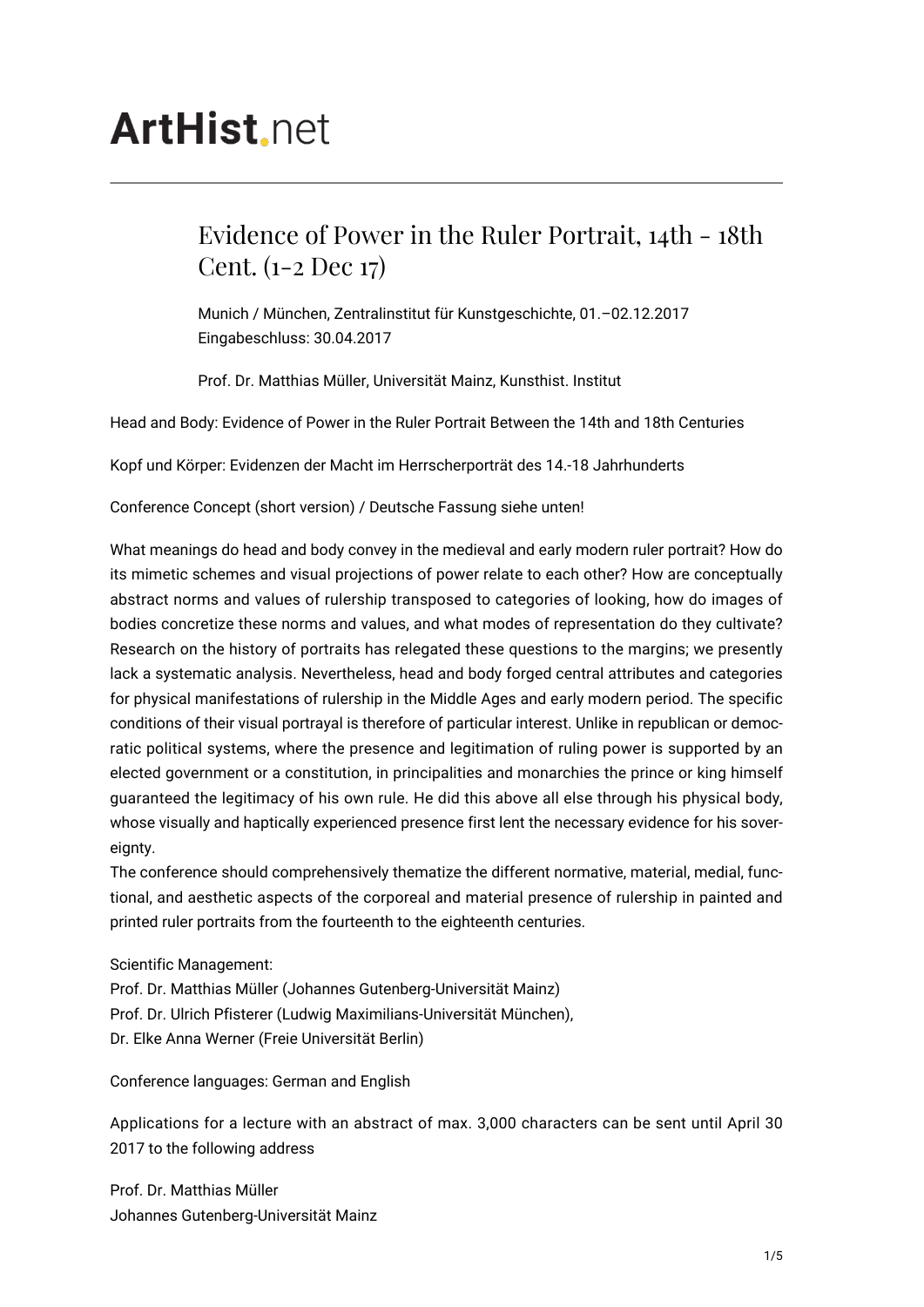# **ArtHist.net**

# Evidence of Power in the Ruler Portrait, 14th - 18th Cent. (1-2 Dec 17)

Munich / München, Zentralinstitut für Kunstgeschichte, 01.–02.12.2017 Eingabeschluss: 30.04.2017

Prof. Dr. Matthias Müller, Universität Mainz, Kunsthist. Institut

Head and Body: Evidence of Power in the Ruler Portrait Between the 14th and 18th Centuries

Kopf und Körper: Evidenzen der Macht im Herrscherporträt des 14.-18 Jahrhunderts

Conference Concept (short version) / Deutsche Fassung siehe unten!

What meanings do head and body convey in the medieval and early modern ruler portrait? How do its mimetic schemes and visual projections of power relate to each other? How are conceptually abstract norms and values of rulership transposed to categories of looking, how do images of bodies concretize these norms and values, and what modes of representation do they cultivate? Research on the history of portraits has relegated these questions to the margins; we presently lack a systematic analysis. Nevertheless, head and body forged central attributes and categories for physical manifestations of rulership in the Middle Ages and early modern period. The specific conditions of their visual portrayal is therefore of particular interest. Unlike in republican or democratic political systems, where the presence and legitimation of ruling power is supported by an elected government or a constitution, in principalities and monarchies the prince or king himself guaranteed the legitimacy of his own rule. He did this above all else through his physical body, whose visually and haptically experienced presence first lent the necessary evidence for his sovereignty.

The conference should comprehensively thematize the different normative, material, medial, functional, and aesthetic aspects of the corporeal and material presence of rulership in painted and printed ruler portraits from the fourteenth to the eighteenth centuries.

Scientific Management:

Prof. Dr. Matthias Müller (Johannes Gutenberg-Universität Mainz) Prof. Dr. Ulrich Pfisterer (Ludwig Maximilians-Universität München), Dr. Elke Anna Werner (Freie Universität Berlin)

Conference languages: German and English

Applications for a lecture with an abstract of max. 3,000 characters can be sent until April 30 2017 to the following address

Prof. Dr. Matthias Müller Johannes Gutenberg-Universität Mainz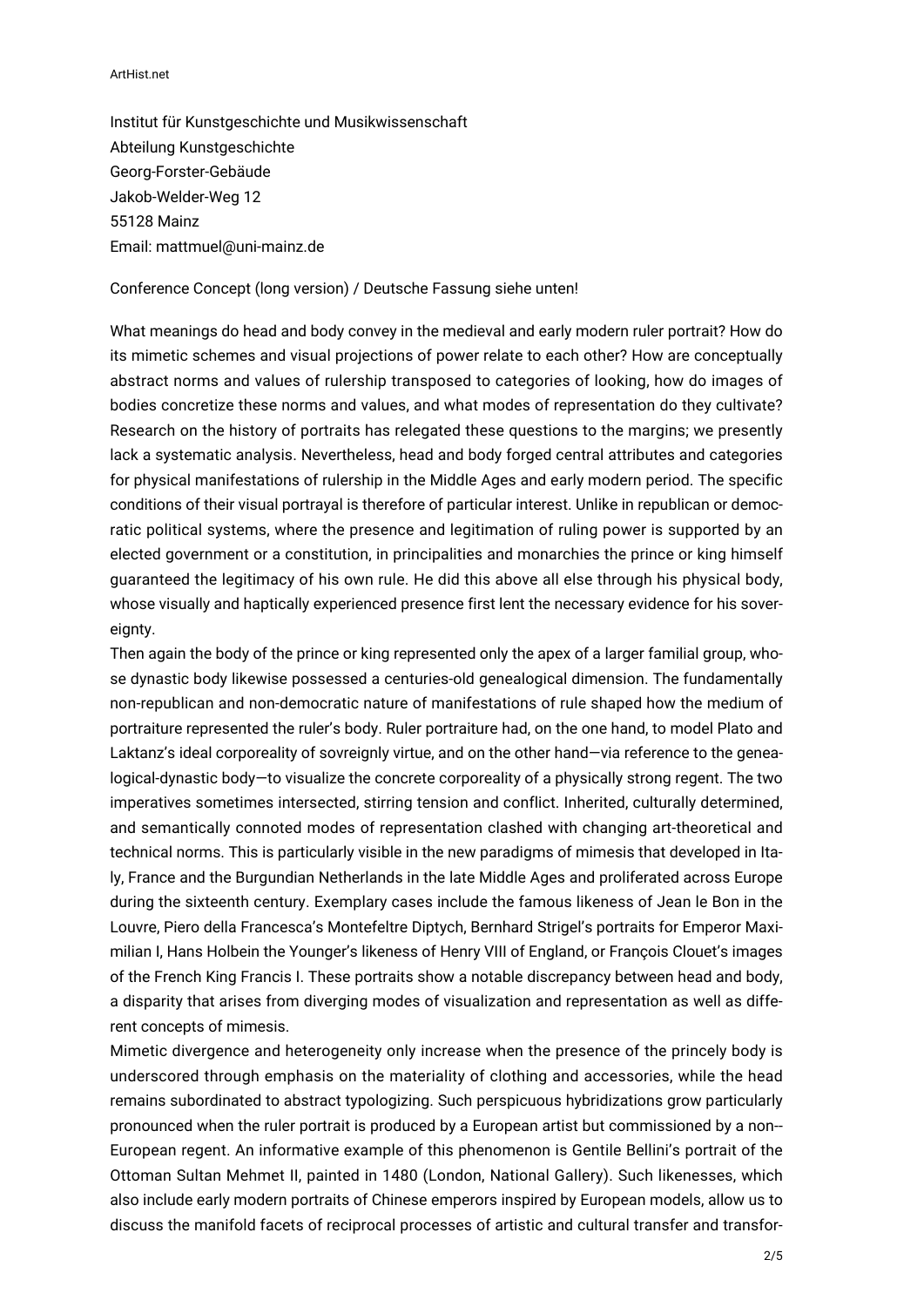#### ArtHist.net

Institut für Kunstgeschichte und Musikwissenschaft Abteilung Kunstgeschichte Georg-Forster-Gebäude Jakob-Welder-Weg 12 55128 Mainz Email: mattmuel@uni-mainz.de

Conference Concept (long version) / Deutsche Fassung siehe unten!

What meanings do head and body convey in the medieval and early modern ruler portrait? How do its mimetic schemes and visual projections of power relate to each other? How are conceptually abstract norms and values of rulership transposed to categories of looking, how do images of bodies concretize these norms and values, and what modes of representation do they cultivate? Research on the history of portraits has relegated these questions to the margins; we presently lack a systematic analysis. Nevertheless, head and body forged central attributes and categories for physical manifestations of rulership in the Middle Ages and early modern period. The specific conditions of their visual portrayal is therefore of particular interest. Unlike in republican or democratic political systems, where the presence and legitimation of ruling power is supported by an elected government or a constitution, in principalities and monarchies the prince or king himself guaranteed the legitimacy of his own rule. He did this above all else through his physical body, whose visually and haptically experienced presence first lent the necessary evidence for his sovereignty.

Then again the body of the prince or king represented only the apex of a larger familial group, whose dynastic body likewise possessed a centuries-old genealogical dimension. The fundamentally non-republican and non-democratic nature of manifestations of rule shaped how the medium of portraiture represented the ruler's body. Ruler portraiture had, on the one hand, to model Plato and Laktanz's ideal corporeality of sovreignly virtue, and on the other hand—via reference to the genealogical-dynastic body—to visualize the concrete corporeality of a physically strong regent. The two imperatives sometimes intersected, stirring tension and conflict. Inherited, culturally determined, and semantically connoted modes of representation clashed with changing art-theoretical and technical norms. This is particularly visible in the new paradigms of mimesis that developed in Italy, France and the Burgundian Netherlands in the late Middle Ages and proliferated across Europe during the sixteenth century. Exemplary cases include the famous likeness of Jean le Bon in the Louvre, Piero della Francesca's Montefeltre Diptych, Bernhard Strigel's portraits for Emperor Maximilian I, Hans Holbein the Younger's likeness of Henry VIII of England, or François Clouet's images of the French King Francis I. These portraits show a notable discrepancy between head and body, a disparity that arises from diverging modes of visualization and representation as well as different concepts of mimesis.

Mimetic divergence and heterogeneity only increase when the presence of the princely body is underscored through emphasis on the materiality of clothing and accessories, while the head remains subordinated to abstract typologizing. Such perspicuous hybridizations grow particularly pronounced when the ruler portrait is produced by a European artist but commissioned by a non-- European regent. An informative example of this phenomenon is Gentile Bellini's portrait of the Ottoman Sultan Mehmet II, painted in 1480 (London, National Gallery). Such likenesses, which also include early modern portraits of Chinese emperors inspired by European models, allow us to discuss the manifold facets of reciprocal processes of artistic and cultural transfer and transfor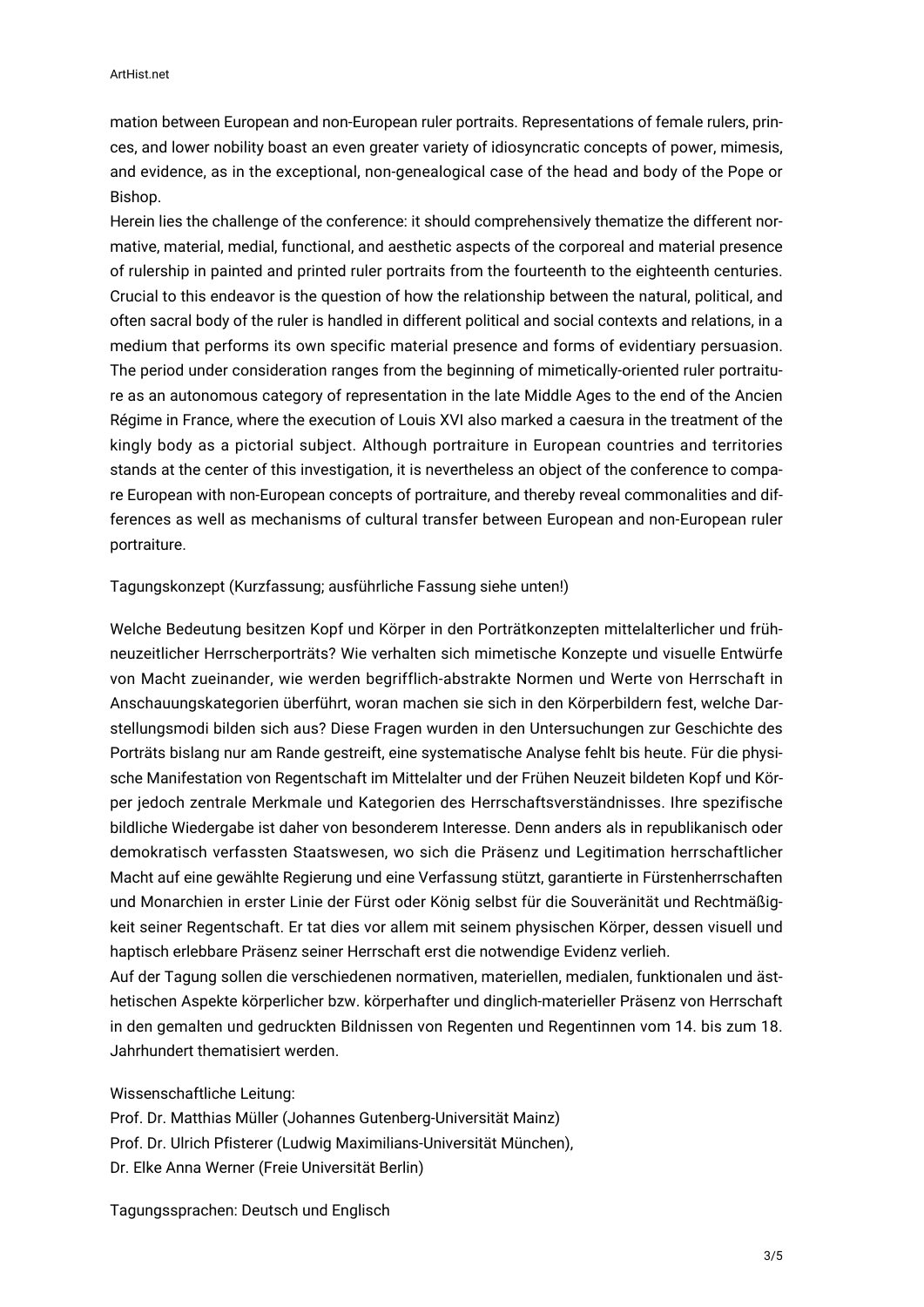mation between European and non-European ruler portraits. Representations of female rulers, princes, and lower nobility boast an even greater variety of idiosyncratic concepts of power, mimesis, and evidence, as in the exceptional, non-genealogical case of the head and body of the Pope or Bishop.

Herein lies the challenge of the conference: it should comprehensively thematize the different normative, material, medial, functional, and aesthetic aspects of the corporeal and material presence of rulership in painted and printed ruler portraits from the fourteenth to the eighteenth centuries. Crucial to this endeavor is the question of how the relationship between the natural, political, and often sacral body of the ruler is handled in different political and social contexts and relations, in a medium that performs its own specific material presence and forms of evidentiary persuasion. The period under consideration ranges from the beginning of mimetically-oriented ruler portraiture as an autonomous category of representation in the late Middle Ages to the end of the Ancien Régime in France, where the execution of Louis XVI also marked a caesura in the treatment of the kingly body as a pictorial subject. Although portraiture in European countries and territories stands at the center of this investigation, it is nevertheless an object of the conference to compare European with non-European concepts of portraiture, and thereby reveal commonalities and differences as well as mechanisms of cultural transfer between European and non-European ruler portraiture.

### Tagungskonzept (Kurzfassung; ausführliche Fassung siehe unten!)

Welche Bedeutung besitzen Kopf und Körper in den Porträtkonzepten mittelalterlicher und frühneuzeitlicher Herrscherporträts? Wie verhalten sich mimetische Konzepte und visuelle Entwürfe von Macht zueinander, wie werden begrifflich-abstrakte Normen und Werte von Herrschaft in Anschauungskategorien überführt, woran machen sie sich in den Körperbildern fest, welche Darstellungsmodi bilden sich aus? Diese Fragen wurden in den Untersuchungen zur Geschichte des Porträts bislang nur am Rande gestreift, eine systematische Analyse fehlt bis heute. Für die physische Manifestation von Regentschaft im Mittelalter und der Frühen Neuzeit bildeten Kopf und Körper jedoch zentrale Merkmale und Kategorien des Herrschaftsverständnisses. Ihre spezifische bildliche Wiedergabe ist daher von besonderem Interesse. Denn anders als in republikanisch oder demokratisch verfassten Staatswesen, wo sich die Präsenz und Legitimation herrschaftlicher Macht auf eine gewählte Regierung und eine Verfassung stützt, garantierte in Fürstenherrschaften und Monarchien in erster Linie der Fürst oder König selbst für die Souveränität und Rechtmäßigkeit seiner Regentschaft. Er tat dies vor allem mit seinem physischen Körper, dessen visuell und haptisch erlebbare Präsenz seiner Herrschaft erst die notwendige Evidenz verlieh.

Auf der Tagung sollen die verschiedenen normativen, materiellen, medialen, funktionalen und ästhetischen Aspekte körperlicher bzw. körperhafter und dinglich-materieller Präsenz von Herrschaft in den gemalten und gedruckten Bildnissen von Regenten und Regentinnen vom 14. bis zum 18. Jahrhundert thematisiert werden.

Wissenschaftliche Leitung:

Prof. Dr. Matthias Müller (Johannes Gutenberg-Universität Mainz) Prof. Dr. Ulrich Pfisterer (Ludwig Maximilians-Universität München), Dr. Elke Anna Werner (Freie Universität Berlin)

Tagungssprachen: Deutsch und Englisch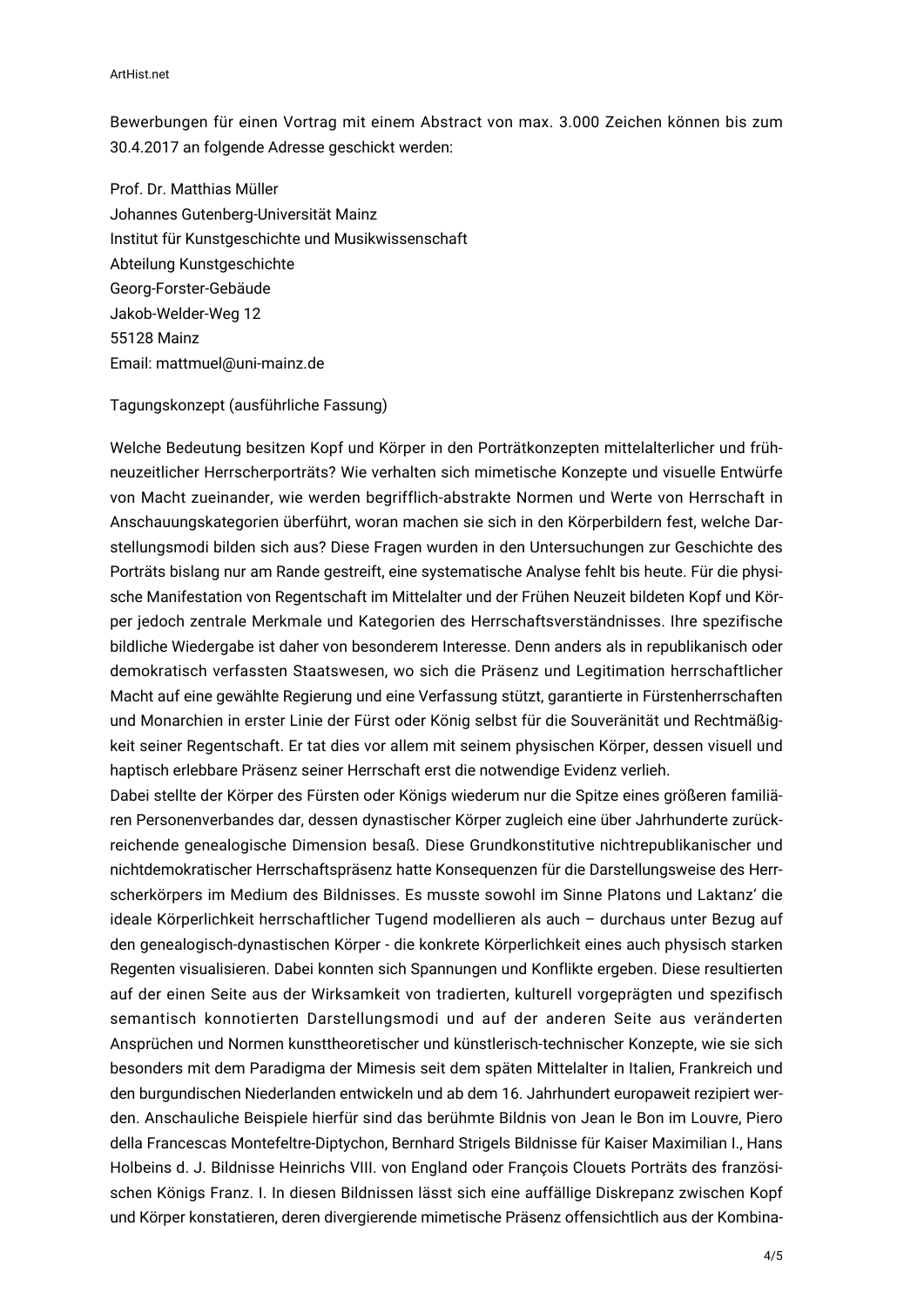ArtHist.net

Bewerbungen für einen Vortrag mit einem Abstract von max. 3.000 Zeichen können bis zum 30.4.2017 an folgende Adresse geschickt werden:

Prof. Dr. Matthias Müller Johannes Gutenberg-Universität Mainz Institut für Kunstgeschichte und Musikwissenschaft Abteilung Kunstgeschichte Georg-Forster-Gebäude Jakob-Welder-Weg 12 55128 Mainz Email: mattmuel@uni-mainz.de

## Tagungskonzept (ausführliche Fassung)

Welche Bedeutung besitzen Kopf und Körper in den Porträtkonzepten mittelalterlicher und frühneuzeitlicher Herrscherporträts? Wie verhalten sich mimetische Konzepte und visuelle Entwürfe von Macht zueinander, wie werden begrifflich-abstrakte Normen und Werte von Herrschaft in Anschauungskategorien überführt, woran machen sie sich in den Körperbildern fest, welche Darstellungsmodi bilden sich aus? Diese Fragen wurden in den Untersuchungen zur Geschichte des Porträts bislang nur am Rande gestreift, eine systematische Analyse fehlt bis heute. Für die physische Manifestation von Regentschaft im Mittelalter und der Frühen Neuzeit bildeten Kopf und Körper jedoch zentrale Merkmale und Kategorien des Herrschaftsverständnisses. Ihre spezifische bildliche Wiedergabe ist daher von besonderem Interesse. Denn anders als in republikanisch oder demokratisch verfassten Staatswesen, wo sich die Präsenz und Legitimation herrschaftlicher Macht auf eine gewählte Regierung und eine Verfassung stützt, garantierte in Fürstenherrschaften und Monarchien in erster Linie der Fürst oder König selbst für die Souveränität und Rechtmäßigkeit seiner Regentschaft. Er tat dies vor allem mit seinem physischen Körper, dessen visuell und haptisch erlebbare Präsenz seiner Herrschaft erst die notwendige Evidenz verlieh.

Dabei stellte der Körper des Fürsten oder Königs wiederum nur die Spitze eines größeren familiären Personenverbandes dar, dessen dynastischer Körper zugleich eine über Jahrhunderte zurückreichende genealogische Dimension besaß. Diese Grundkonstitutive nichtrepublikanischer und nichtdemokratischer Herrschaftspräsenz hatte Konsequenzen für die Darstellungsweise des Herrscherkörpers im Medium des Bildnisses. Es musste sowohl im Sinne Platons und Laktanz' die ideale Körperlichkeit herrschaftlicher Tugend modellieren als auch – durchaus unter Bezug auf den genealogisch-dynastischen Körper - die konkrete Körperlichkeit eines auch physisch starken Regenten visualisieren. Dabei konnten sich Spannungen und Konflikte ergeben. Diese resultierten auf der einen Seite aus der Wirksamkeit von tradierten, kulturell vorgeprägten und spezifisch semantisch konnotierten Darstellungsmodi und auf der anderen Seite aus veränderten Ansprüchen und Normen kunsttheoretischer und künstlerisch-technischer Konzepte, wie sie sich besonders mit dem Paradigma der Mimesis seit dem späten Mittelalter in Italien, Frankreich und den burgundischen Niederlanden entwickeln und ab dem 16. Jahrhundert europaweit rezipiert werden. Anschauliche Beispiele hierfür sind das berühmte Bildnis von Jean le Bon im Louvre, Piero della Francescas Montefeltre-Diptychon, Bernhard Strigels Bildnisse für Kaiser Maximilian I., Hans Holbeins d. J. Bildnisse Heinrichs VIII. von England oder François Clouets Porträts des französischen Königs Franz. I. In diesen Bildnissen lässt sich eine auffällige Diskrepanz zwischen Kopf und Körper konstatieren, deren divergierende mimetische Präsenz offensichtlich aus der Kombina